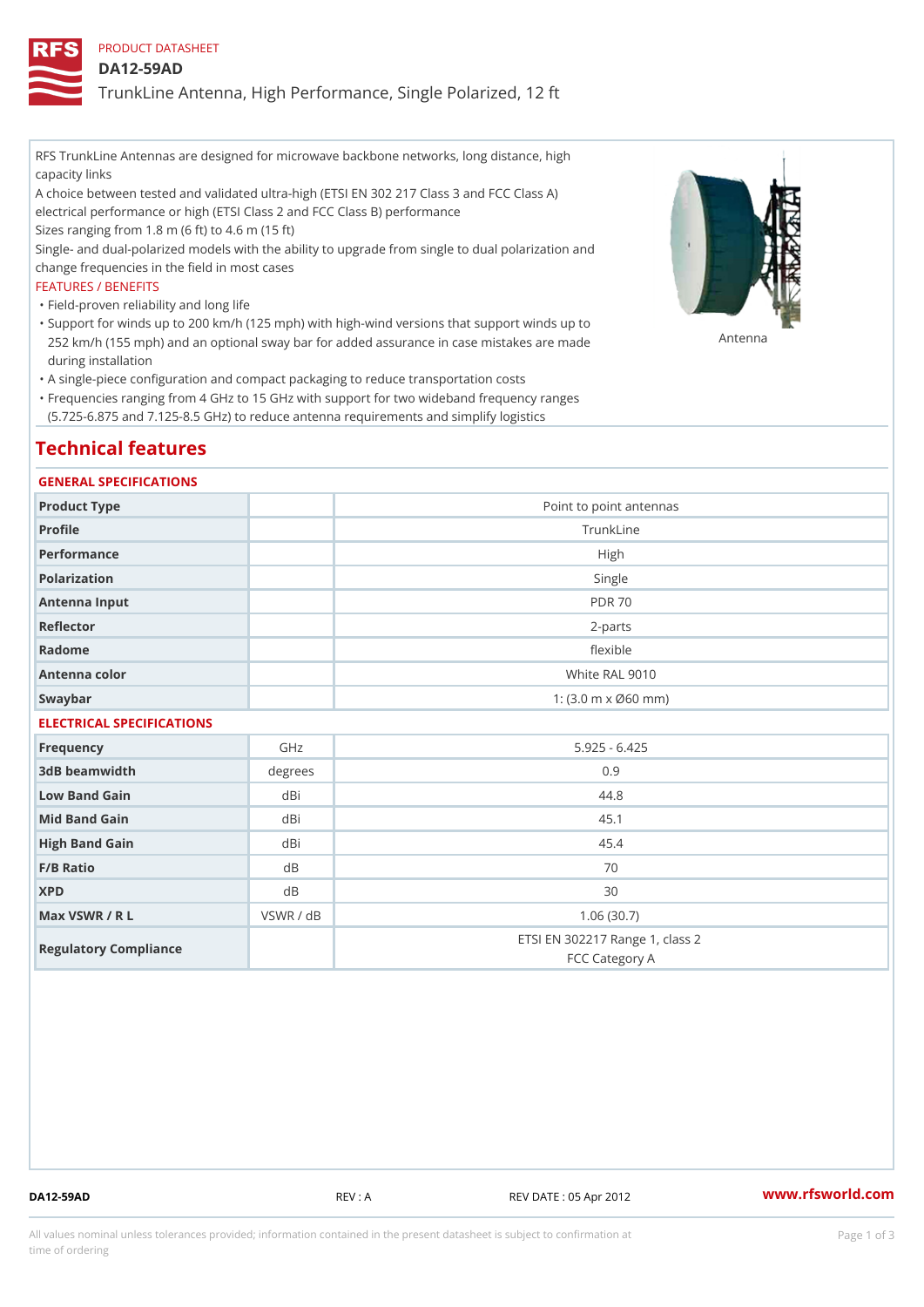PRODUCT DATASHEET

DA12-59AD

TrunkLine Antenna, High Performance, Single Polarized, 12 ft

RFS TrunkLine Antennas are designed for microwave backbone networks, long distance, high capacity links

A choice between tested and validated ultra-high (ETSI EN 302 217 Class 3 and FCC Class A) electrical performance or high (ETSI Class 2 and FCC Class B) performance

Sizes ranging from 1.8 m (6 ft) to 4.6 m (15 ft)

Single- and dual-polarized models with the ability to upgrade from single to dual polarization and change frequencies in the field in most cases

### FEATURES / BENEFITS

"Field-proven reliability and long life

- Support for winds up to 200 km/h (125 mph) with high-wind versions that support winds up to " 252 km/h (155 mph) and an optional sway bar for added assurance in case m S # \$ R & B are made during installation
- "A single-piece configuration and compact packaging to reduce transportation costs
- Frequencies ranging from 4 GHz to 15 GHz with support for two wideband frequency ranges " (5.725-6.875 and 7.125-8.5 GHz) to reduce antenna requirements and simplify logistics

# Technical features

### GENERAL SPECIFICATIONS

| Product Type  | Point to point antennas                                 |
|---------------|---------------------------------------------------------|
| Profile       | TrunkLine                                               |
| Performance   | High                                                    |
| Polarization  | Single                                                  |
| Antenna Input | <b>PDR 70</b>                                           |
| Reflector     | $2 - p$ arts                                            |
| Radome        | flexible                                                |
| Antenna color | White RAL 9010                                          |
| Swaybar       | 1: $(3.0 \, \text{m} \times \emptyset 60 \, \text{mm})$ |

## ELECTRICAL SPECIFICATIONS

| Frequency             | GHz       | $5.925 - 6.425$                                   |
|-----------------------|-----------|---------------------------------------------------|
| 3dB beamwidth         | degree    | 0.9                                               |
| Low Band Gain         | dBi       | 44.8                                              |
| Mid Band Gain         | dBi       | 45.1                                              |
| High Band Gain        | dBi       | 45.4                                              |
| $F/B$ Ratio           | d B       | 70                                                |
| <b>XPD</b>            | d B       | 30                                                |
| Max VSWR / R L        | VSWR / dB | 1.06(30.7)                                        |
| Regulatory Compliance |           | ETSI EN 302217 Range 1, class 2<br>FCC Category A |

DA12-59AD REV : A REV DATE : 05 Apr 2012 [www.](https://www.rfsworld.com)rfsworld.com

All values nominal unless tolerances provided; information contained in the present datasheet is subject to Pcapgeign mation time of ordering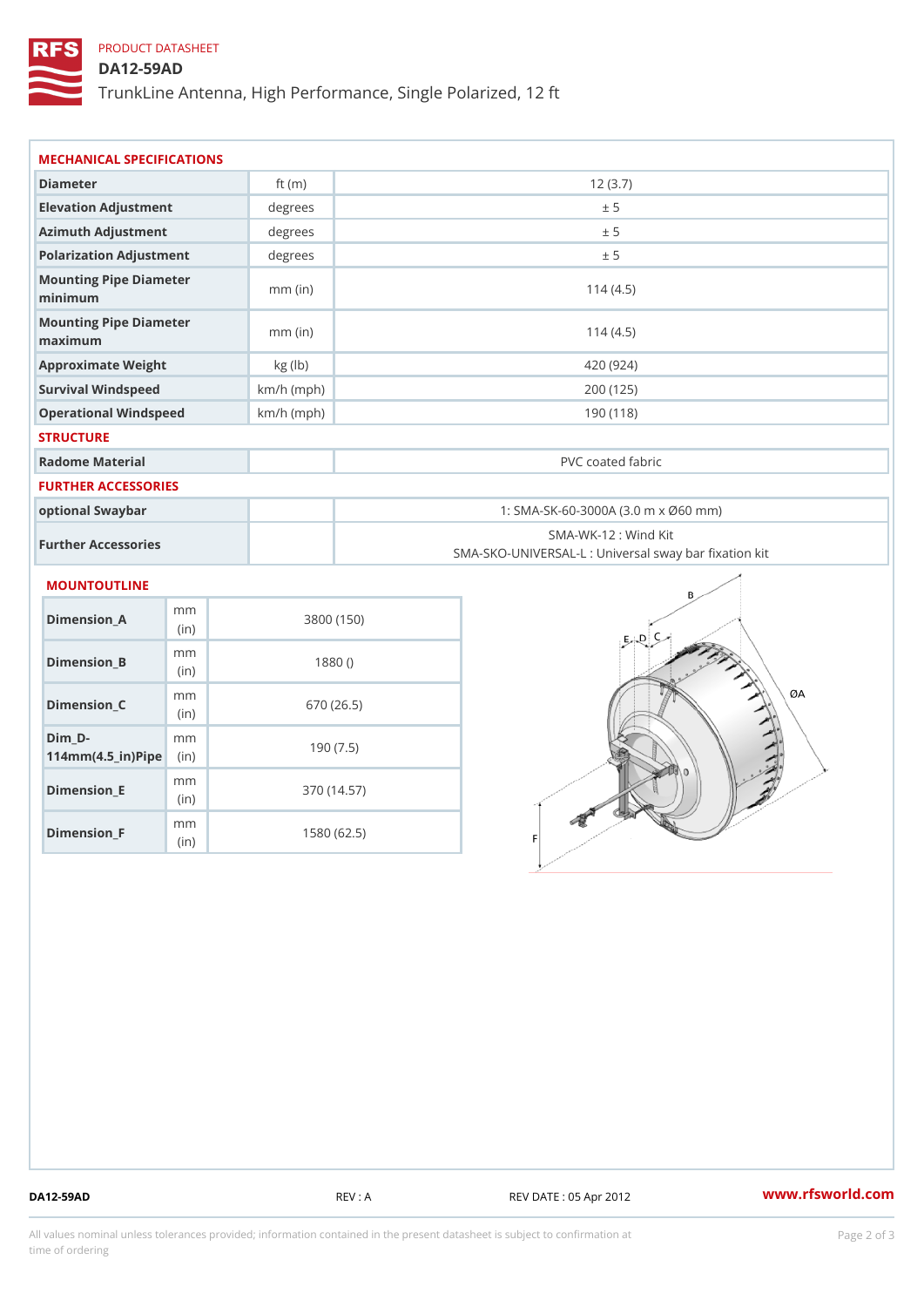# PRODUCT DATASHEET

## DA12-59AD

TrunkLine Antenna, High Performance, Single Polarized, 12 ft

| MECHANICAL SPECIFICATIONS                                                   |              |                                                                          |  |  |
|-----------------------------------------------------------------------------|--------------|--------------------------------------------------------------------------|--|--|
| Diameter                                                                    | ft $(m)$     | 12(3.7)                                                                  |  |  |
| Elevation Adjustment                                                        | degrees      | ± 5                                                                      |  |  |
| Azimuth Adjustment                                                          | degrees      | ± 5                                                                      |  |  |
| Polarization Adjustment                                                     | degree:      | ± 5                                                                      |  |  |
| Mounting Pipe Diameter<br>minimum                                           | $mm$ (in)    | 114(4.5)                                                                 |  |  |
| Mounting Pipe Diameter<br>maximum                                           | $mm$ (in)    | 114(4.5)                                                                 |  |  |
| Approximate Weight                                                          | kg (lb)      | 420 (924)                                                                |  |  |
| Survival Windspeed                                                          | $km/h$ (mph) | 200 (125)                                                                |  |  |
| Operational Windspeed                                                       | $km/h$ (mph) | 190 (118)                                                                |  |  |
| <b>STRUCTURE</b>                                                            |              |                                                                          |  |  |
| Radome Material                                                             |              | PVC coated fabric                                                        |  |  |
| FURTHER ACCESSORIES                                                         |              |                                                                          |  |  |
| optional Swaybar                                                            |              | 1: SMA-SK-60-3000A (3.0 m x Ø60 mm)                                      |  |  |
| Further Accessories                                                         |              | SMA-WK-12: Wind Kit<br>SMA-SKO-UNIVERSAL-L : Universal sway bar fixation |  |  |
| MOUNTOUTLINE                                                                |              |                                                                          |  |  |
| m m<br>$Dimension_A$<br>(i n)                                               |              | 3800 (150)                                                               |  |  |
| m m<br>$Dimension_B$<br>(in)                                                |              | 1880()                                                                   |  |  |
| m m<br>$Dimension_C$<br>(in)                                                |              | 670 (26.5)                                                               |  |  |
| $Dim_D - D -$<br>m <sub>m</sub><br>$114$ m m $(4.5$ $-$ ir $)$ P ii p $\ge$ |              | 190(7.5)                                                                 |  |  |

(in) Dimension\_F m<sub>m</sub> (in) 1580 (62.5)

m<sub>m</sub>

Dimension\_E

370 (14.57)

DA12-59AD REV : A REV DATE : 05 Apr 2012 [www.](https://www.rfsworld.com)rfsworld.com